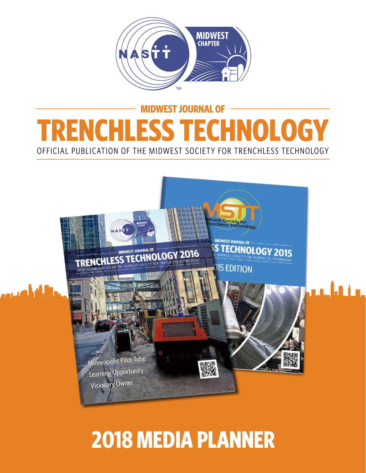

### **MIDWEST JOURNAL OF TRENCHLESS TECHNOLOGY** OFFICIAL PUBLICATION OF THE MIDWEST SOCIETY FOR TRENCHLESS TECHNOLOGY



# **2018 MEDIA PLANNER**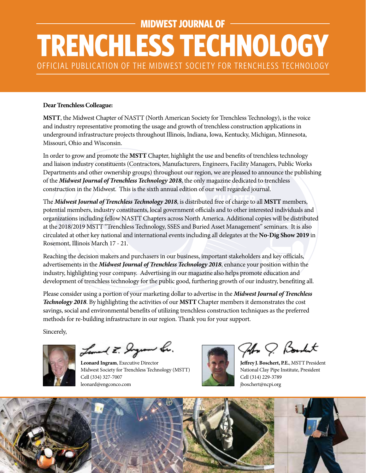# **MIDWEST JOURNAL OF TRENCHLESS TECHNOLOGY** OFFICIAL PUBLICATION OF THE MIDWEST SOCIETY FOR TRENCHLESS TECHNOLOGY

#### **Dear Trenchless Colleague:**

**MSTT**, the Midwest Chapter of NASTT (North American Society for Trenchless Technology), is the voice and industry representative promoting the usage and growth of trenchless construction applications in underground infrastructure projects throughout Illinois, Indiana, Iowa, Kentucky, Michigan, Minnesota, Missouri, Ohio and Wisconsin.

In order to grow and promote the **MSTT** Chapter, highlight the use and benefits of trenchless technology and liaison industry constituents (Contractors, Manufacturers, Engineers, Facility Managers, Public Works Departments and other ownership groups) throughout our region, we are pleased to announce the publishing of the *Midwest Journal of Trenchless Technology 2018*, the only magazine dedicated to trenchless construction in the Midwest. This is the sixth annual edition of our well regarded journal.

The *Midwest Journal of Trenchless Technology 2018*, is distributed free of charge to all **MSTT** members, potential members, industry constituents, local government officials and to other interested individuals and organizations including fellow NASTT Chapters across North America. Additional copies will be distributed at the 2018/2019 MSTT "Trenchless Technology, SSES and Buried Asset Management" seminars. It is also circulated at other key national and international events including all delegates at the **No-Dig Show 2019** in Rosemont, Illinois March 17 - 21.

Reaching the decision makers and purchasers in our business, important stakeholders and key officials, advertisements in the *Midwest Journal of Trenchless Technology 2018*, enhance your position within the industry, highlighting your company. Advertising in our magazine also helps promote education and development of trenchless technology for the public good, furthering growth of our industry, benefiting all.

Please consider using a portion of your marketing dollar to advertise in the *Midwest Journal of Trenchless Technology 2018*. By highlighting the activities of our **MSTT** Chapter members it demonstrates the cost savings, social and environmental benefits of utilizing trenchless construction techniques as the preferred methods for re-building infrastructure in our region. Thank you for your support.

Sincerely,

Leonard E. Jaguar Le.

**Leonard Ingram**, Executive Director Midwest Society for Trenchless Technology (MSTT) Cell (334) 327-7007 leonard@engconco.com

74 Q Bookut

**Jeffrey J. Boschert, P.E.**, MSTT President National Clay Pipe Institute, President Cell (314) 229-3789 jboschert@ncpi.org

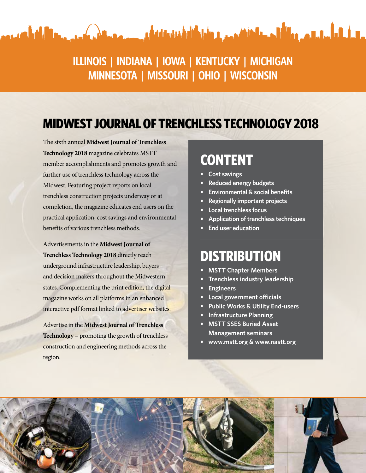#### **ILLINOIS | INDIANA | IOWA | KENTUCKY | MICHIGAN MINNESOTA | MISSOURI | OHIO | WISCONSIN**

والطالعة والماليون ووالأله وسنافا فافهم والعاشا فالعاملية فيستحدث ومعطف وأموان واللغامة

#### **MIDWEST JOURNAL OF TRENCHLESS TECHNOLOGY 2018**

The sixth annual **Midwest Journal of Trenchless Technology 2018** magazine celebrates MSTT member accomplishments and promotes growth and further use of trenchless technology across the Midwest. Featuring project reports on local trenchless construction projects underway or at completion, the magazine educates end users on the practical application, cost savings and environmental benefits of various trenchless methods.

أتلطف

Advertisements in the **Midwest Journal of Trenchless Technology 2018** directly reach underground infrastructure leadership, buyers and decision makers throughout the Midwestern states. Complementing the print edition, the digital magazine works on all platforms in an enhanced interactive pdf format linked to advertiser websites.

Advertise in the **Midwest Journal of Trenchless Technology** – promoting the growth of trenchless construction and engineering methods across the region.

#### **CONTENT**

- **• Cost savings**
- **• Reduced energy budgets**
- **• Environmental & social benefits**
- **• Regionally important projects**
- **• Local trenchless focus**
- **• Application of trenchless techniques**
- **• End user education**

#### **DISTRIBUTION**

- **• MSTT Chapter Members**
- **• Trenchless industry leadership**
- **• Engineers**
- **• Local government officials**
- **• Public Works & Utility End-users**
- **• Infrastructure Planning**
- **• MSTT SSES Buried Asset Management seminars**
- **• www.mstt.org & www.nastt.org**